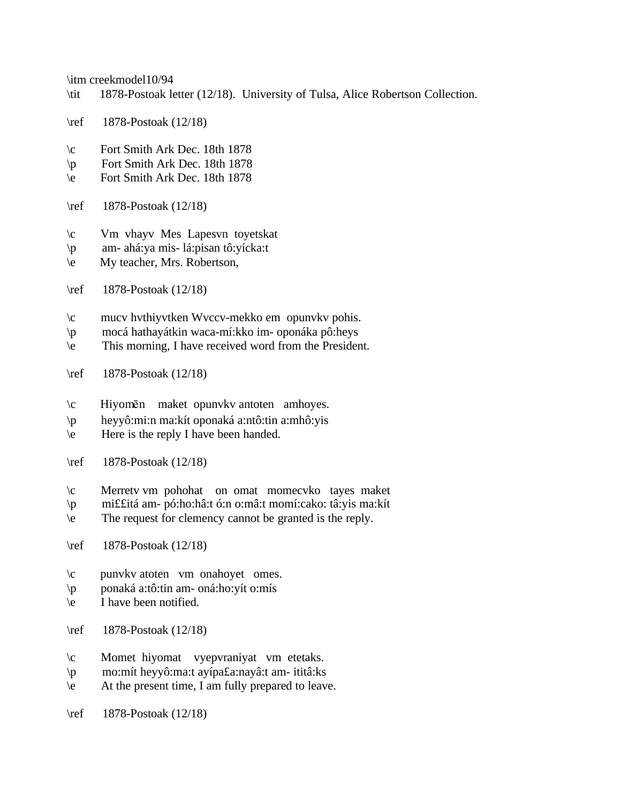\itm creekmodel10/94

- \tit 1878-Postoak letter (12/18). University of Tulsa, Alice Robertson Collection.
- \ref 1878-Postoak (12/18)
- \c Fort Smith Ark Dec. 18th 1878
- \p Fort Smith Ark Dec. 18th 1878
- \e Fort Smith Ark Dec. 18th 1878
- \ref 1878-Postoak (12/18)
- \c Vm vhayv Mes Lapesvn toyetskat
- \p am- ahá:ya mis- lá:pisan tô:yícka:t
- \e My teacher, Mrs. Robertson,
- \ref 1878-Postoak (12/18)
- \c mucv hvthiyvtken Wvccv-mekko em opunvkv pohis.
- \p mocá hathayátkin waca-mí:kko im- oponáka pô:heys
- \e This morning, I have received word from the President.
- \ref 1878-Postoak (12/18)
- $\operatorname{c}$  Hiyomēn maket opunvkv antoten amhoyes.
- \p heyyô:mi:n ma:kít oponaká a:ntô:tin a:mhô:yis
- $\text{Here is the reply I have been handed.}$
- \ref 1878-Postoak (12/18)
- \c Merretv vm pohohat on omat momecvko tayes maket
- \p mi££itá am- pó:ho:hâ:t ó:n o:mâ:t momí:cako: tâ:yis ma:kít
- \e The request for clemency cannot be granted is the reply.
- \ref 1878-Postoak (12/18)
- \c punvkv atoten vm onahoyet omes.
- \p ponaká a:tô:tin am- oná:ho:yít o:mís
- \e I have been notified.
- \ref 1878-Postoak (12/18)
- \c Momet hiyomat vyepvraniyat vm etetaks.
- \p mo:mít heyyô:ma:t ayípa£a:nayâ:t am- ititâ:ks
- $\leq$  At the present time, I am fully prepared to leave.
- \ref 1878-Postoak (12/18)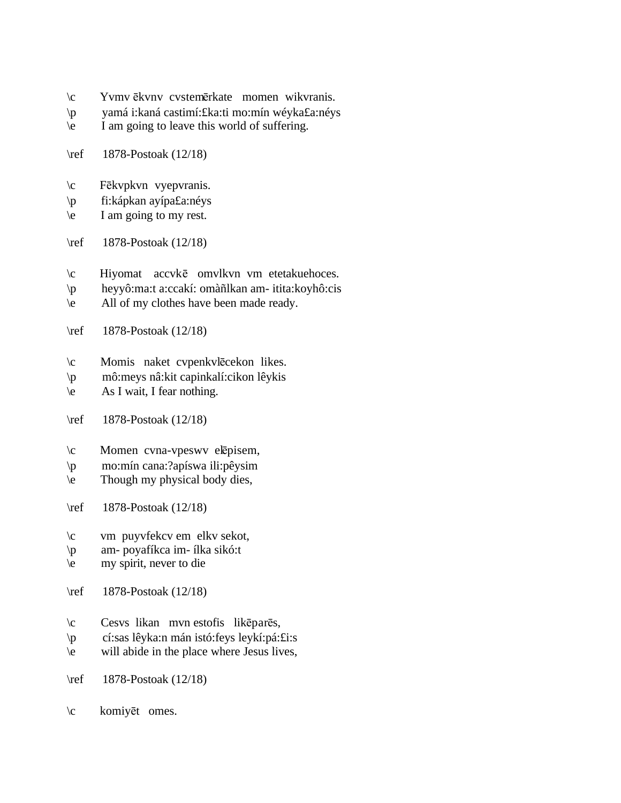- \c Yvmv ekvnv cvstemerkate momen wikvranis.
- \p yamá i:kaná castimí:£ka:ti mo:mín wéyka£a:néys
- \e I am going to leave this world of suffering.
- \ref 1878-Postoak (12/18)
- \c Fēkvpkvn vyepvranis.
- \p fi:kápkan ayípa£a:néys
- $\le$  I am going to my rest.
- \ref 1878-Postoak (12/18)
- \c Hiyomat accvke omvlkvn vm etetakuehoces.
- \p heyyô:ma:t a:ccakí: omàñlkan am- itita:koyhô:cis
- $\leq$  All of my clothes have been made ready.
- \ref 1878-Postoak (12/18)
- \c Momis naket cvpenkvlēcekon likes.
- \p mô:meys nâ:kit capinkalí:cikon lêykis
- $\text{e}$  As I wait, I fear nothing.
- \ref 1878-Postoak (12/18)
- $\c$  Momen cvna-vpeswv elepisem,
- \p mo:mín cana:?apíswa ili:pêysim
- \e Though my physical body dies,
- \ref 1878-Postoak (12/18)
- \c vm puyvfekcv em elkv sekot,
- \p am- poyafíkca im- ílka sikó:t
- $\left\langle e \right\rangle$  my spirit, never to die
- \ref 1878-Postoak (12/18)
- $\c$  Cesvs likan mvn estofis likēparēs,
- \p cí:sas lêyka:n mán istó:feys leykí:pá:£i:s
- \e will abide in the place where Jesus lives,
- \ref 1878-Postoak (12/18)
- $\c$  komiyēt omes.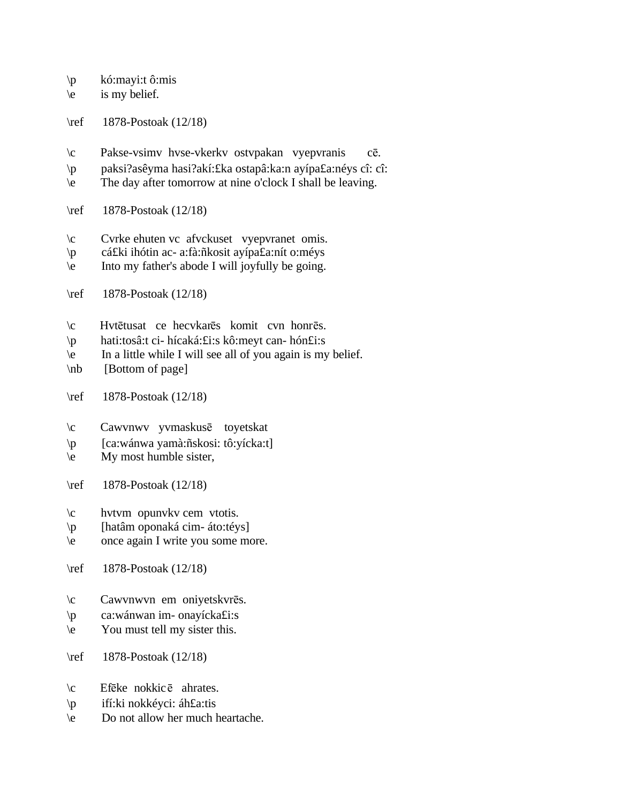\p kó:mayi:t ô:mis

 $\le$  is my belief.

\ref 1878-Postoak (12/18)

- \c Pakse-vsimv hvse-vkerkv ostvpakan vyepvranis c¬.
- \p paksi?asêyma hasi?akí:£ka ostapâ:ka:n ayípa£a:néys cî: cî:
- \e The day after tomorrow at nine o'clock I shall be leaving.
- \ref 1878-Postoak (12/18)
- \c Cvrke ehuten vc afvckuset vyepvranet omis.
- \p cá£ki ihótin ac- a:fà:ñkosit ayípa£a:nít o:méys
- \e Into my father's abode I will joyfully be going.
- \ref 1878-Postoak (12/18)
- $\c$  Hvtētusat ce hecvkarēs komit cvn honrēs.
- \p hati:tosâ:t ci- hícaká:£i:s kô:meyt can- hón£i:s
- \e In a little while I will see all of you again is my belief.
- \nb [Bottom of page]
- \ref 1878-Postoak (12/18)
- \c Cawvnwv yvmaskusē toyetskat
- \p [ca:wánwa yamà:ñskosi: tô:yícka:t]
- \e My most humble sister,
- \ref 1878-Postoak (12/18)
- \c hvtvm opunvkv cem vtotis.
- \p [hatâm oponaká cim- áto:téys]
- \e once again I write you some more.
- \ref 1878-Postoak (12/18)
- $\c$  Cawvnwvn em oniyetskvrēs.
- \p ca:wánwan im- onayícka£i:s
- \e You must tell my sister this.
- \ref 1878-Postoak (12/18)
- $\c$  Efēke nokkicē ahrates.
- \p ifí:ki nokkéyci: áh£a:tis
- \e Do not allow her much heartache.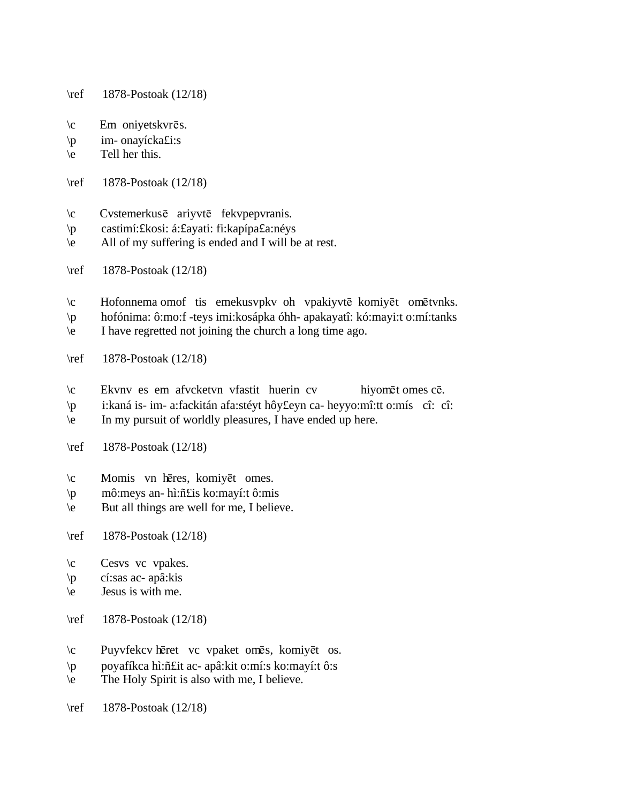\ref 1878-Postoak (12/18)

- $\c$  Em oniyetskvrēs.
- \p im- onayícka£i:s
- \e Tell her this.
- \ref 1878-Postoak (12/18)
- $\c$  Cvstemerkus $\bar{e}$  ariyvt $\bar{e}$  fekvpepvranis.
- \p castimí:£kosi: á:£ayati: fi:kapípa£a:néys
- \e All of my suffering is ended and I will be at rest.
- \ref 1878-Postoak (12/18)
- $\c$  Hofonnema omof tis emekusvpkv oh vpakiyvtē komiyēt omētvnks.
- \p hofónima: ô:mo:f -teys imi:kosápka óhh- apakayatî: kó:mayi:t o:mí:tanks
- \e I have regretted not joining the church a long time ago.
- \ref 1878-Postoak (12/18)
- $\c$  Ekvnv es em afvcketvn vfastit huerin cv hiyomēt omes cē.
- \p i:kaná is- im- a:fackitán afa:stéyt hôy£eyn ca- heyyo:mî:tt o:mís cî: cî:
- \e In my pursuit of worldly pleasures, I have ended up here.
- \ref 1878-Postoak (12/18)
- \c Momis vn hēres, komiyēt omes.
- \p mô:meys an- hì:ñ£is ko:mayí:t ô:mis
- \e But all things are well for me, I believe.
- \ref 1878-Postoak (12/18)
- \c Cesvs vc vpakes.
- \p cí:sas ac- apâ:kis
- $\leq$  Jesus is with me.
- \ref 1878-Postoak (12/18)
- \c Puyvfekcv heret vc vpaket omes, komiyet os.
- \p poyafíkca hì:ñ£it ac- apâ:kit o:mí:s ko:mayí:t ô:s
- \e The Holy Spirit is also with me, I believe.
- \ref 1878-Postoak (12/18)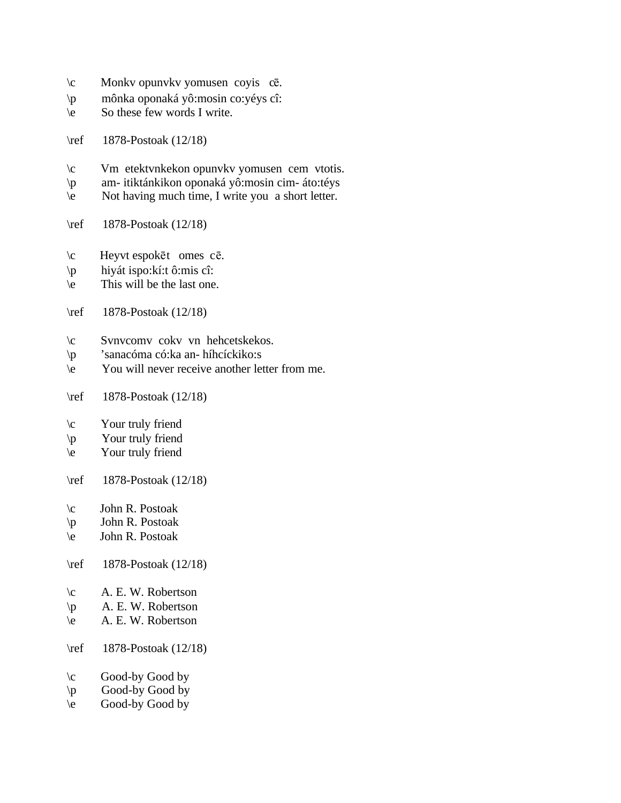- $\operatorname{C}$  Monkv opunvkv yomusen coyis c $\bar{\mathrm{c}}$ .
- \p mônka oponaká yô:mosin co:yéys cî:
- \e So these few words I write.
- \ref 1878-Postoak (12/18)
- \c Vm etektvnkekon opunvkv yomusen cem vtotis.
- \p am- itiktánkikon oponaká yô:mosin cim- áto:téys
- $\overrightarrow{e}$  Not having much time, I write you a short letter.
- \ref 1878-Postoak (12/18)
- \c Heyvt espokēt omes cē.
- \p hiyát ispo:kí:t ô:mis cî:
- $\leq$  This will be the last one.
- \ref 1878-Postoak (12/18)
- \c Svnvcomv cokv vn hehcetskekos.
- \p 'sanacóma có:ka an- híhcíckiko:s
- \e You will never receive another letter from me.
- \ref 1878-Postoak (12/18)
- \c Your truly friend
- \p Your truly friend
- \e Your truly friend
- \ref 1878-Postoak (12/18)
- \c John R. Postoak
- \p John R. Postoak
- \e John R. Postoak
- \ref 1878-Postoak (12/18)
- \c A. E. W. Robertson
- \p A. E. W. Robertson
- \e A. E. W. Robertson
- \ref 1878-Postoak (12/18)
- \c Good-by Good by
- $\downarrow$  Good-by Good by
- $\begin{pmatrix} 1 & 1 \\ 0 & 0 \end{pmatrix}$  Good-by Good by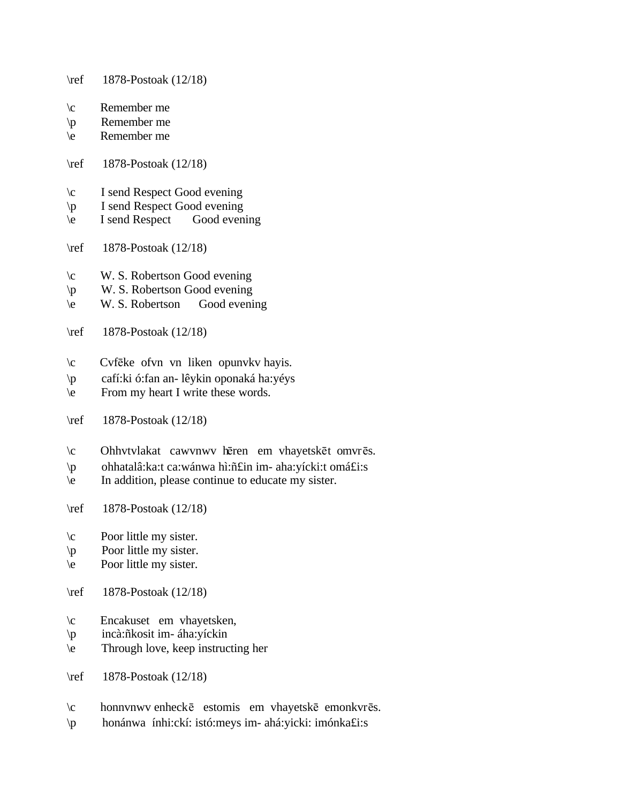- \ref 1878-Postoak (12/18)
- $\c$  Remember me
- \p Remember me
- \e Remember me
- \ref 1878-Postoak (12/18)
- \c I send Respect Good evening
- $\pmb{\downarrow}$  I send Respect Good evening<br>  $\pmb{\downarrow}$  I send Respect Good evening
- $\begin{array}{cc} \n\cdot & \cdot \cdot \quad \text{I send Respect}\n\end{array}$
- \ref 1878-Postoak (12/18)
- \c W. S. Robertson Good evening
- \p W. S. Robertson Good evening
- \e W. S. Robertson Good evening
- \ref 1878-Postoak (12/18)
- $\c$  Cvfeke of vn vn liken opunvkv hayis.
- \p cafí:ki ó:fan an- lêykin oponaká ha:yéys
- \e From my heart I write these words.
- \ref 1878-Postoak (12/18)
- \c Ohhvtvlakat cawvnwv hēren em vhayetskēt omvrēs.
- \p ohhatalâ:ka:t ca:wánwa hì:ñ£in im- aha:yícki:t omá£i:s
- \e In addition, please continue to educate my sister.
- \ref 1878-Postoak (12/18)
- \c Poor little my sister.
- \p Poor little my sister.
- \e Poor little my sister.
- \ref 1878-Postoak (12/18)
- \c Encakuset em vhayetsken,
- \p incà:ñkosit im- áha:yíckin
- \e Through love, keep instructing her
- \ref 1878-Postoak (12/18)
- $\c$  honnvnwv enheck $\bar{e}$  estomis em vhayetsk $\bar{e}$  emonkvr $\bar{e}s$ .
- \p honánwa ínhi:ckí: istó:meys im- ahá:yicki: imónka£i:s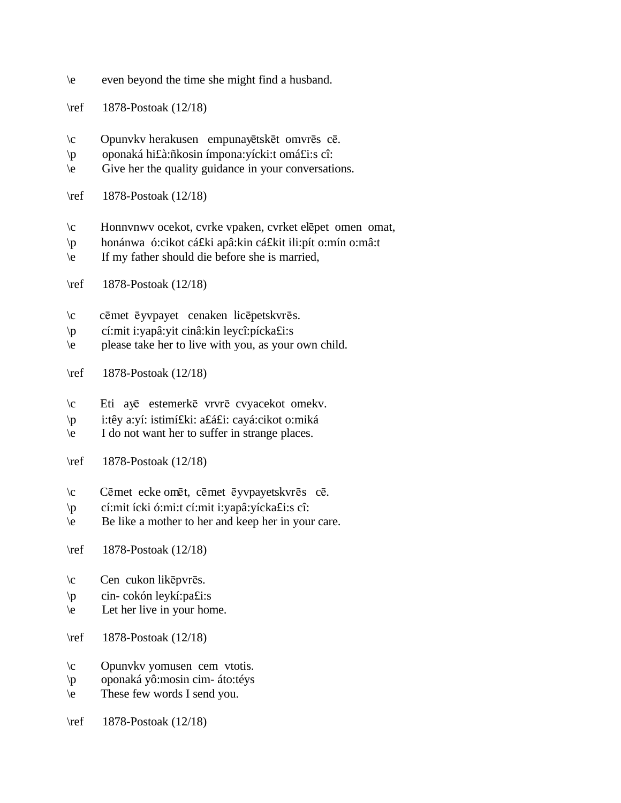- \e even beyond the time she might find a husband.
- \ref 1878-Postoak (12/18)
- \c Opunvkv herakusen empunayētskēt omvrēs cē.
- \p oponaká hi£à:ñkosin ímpona:yícki:t omá£i:s cî:
- \e Give her the quality guidance in your conversations.
- \ref 1878-Postoak (12/18)
- $\c$  Honnvnwv ocekot, cvrke vpaken, cvrket elepet omen omat,
- \p honánwa ó:cikot cá£ki apâ:kin cá£kit ili:pít o:mín o:mâ:t
- \e If my father should die before she is married,
- \ref 1878-Postoak (12/18)
- \c cēmet ēyvpayet cenaken licēpetskvrēs.
- \p cí:mit i:yapâ:yit cinâ:kin leycî:pícka£i:s
- \e please take her to live with you, as your own child.
- \ref 1878-Postoak (12/18)
- \c Eti ayē estemerkē vrvrē cvyacekot omekv.
- \p i:têy a:yí: istimí£ki: a£á£i: cayá:cikot o:miká
- \e I do not want her to suffer in strange places.
- \ref 1878-Postoak (12/18)
- \c Cēmet ecke omēt, cēmet ēyvpayetskvrēs cē.
- \p cí:mit ícki ó:mi:t cí:mit i:yapâ:yícka£i:s cî:
- \e Be like a mother to her and keep her in your care.
- \ref 1878-Postoak (12/18)
- $\c$  Cen cukon likēpvrēs.
- \p cin- cokón leykí:pa£i:s
- \e Let her live in your home.
- \ref 1878-Postoak (12/18)
- \c Opunvkv yomusen cem vtotis.
- \p oponaká yô:mosin cim- áto:téys
- \e These few words I send you.
- \ref 1878-Postoak (12/18)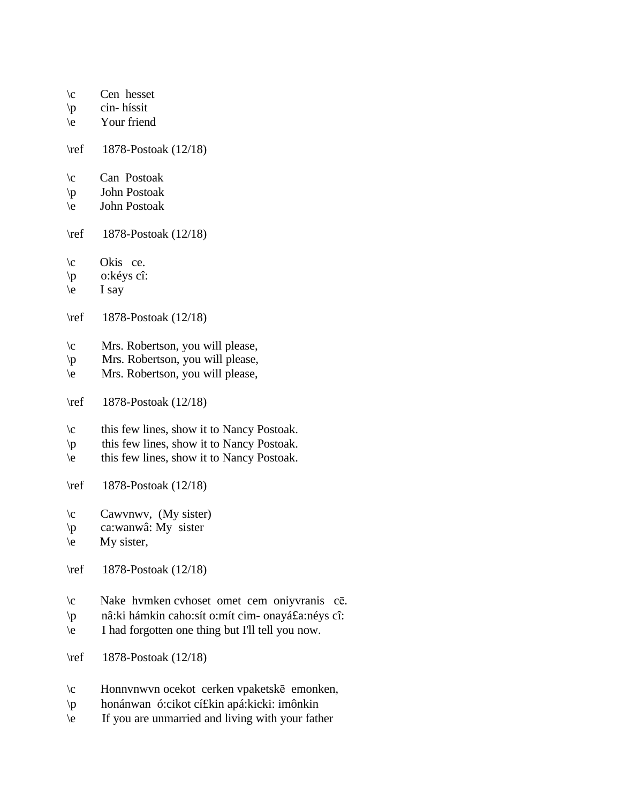- $\c$  Cen hesset
- \p cin- híssit
- \e Your friend
- \ref 1878-Postoak (12/18)
- \c Can Postoak
- \p John Postoak
- \e John Postoak
- \ref 1878-Postoak (12/18)
- \c Okis ce.
- \p o:kéys cî:
- $\leq$  I say
- \ref 1878-Postoak (12/18)
- \c Mrs. Robertson, you will please,
- \p Mrs. Robertson, you will please,
- \e Mrs. Robertson, you will please,
- \ref 1878-Postoak (12/18)
- \c this few lines, show it to Nancy Postoak.
- \p this few lines, show it to Nancy Postoak.
- \e this few lines, show it to Nancy Postoak.
- \ref 1878-Postoak (12/18)
- \c Cawvnwv, (My sister)
- \p ca:wanwâ: My sister
- $\leq$  My sister,
- \ref 1878-Postoak (12/18)
- \c Nake hvmken cvhoset omet cem oniyvranis cē.
- \p nâ:ki hámkin caho:sít o:mít cim- onayá£a:néys cî:
- \e I had forgotten one thing but I'll tell you now.
- \ref 1878-Postoak (12/18)
- \c Honnvnwvn ocekot cerken vpaketskē emonken,
- \p honánwan ó:cikot cí£kin apá:kicki: imônkin
- \e If you are unmarried and living with your father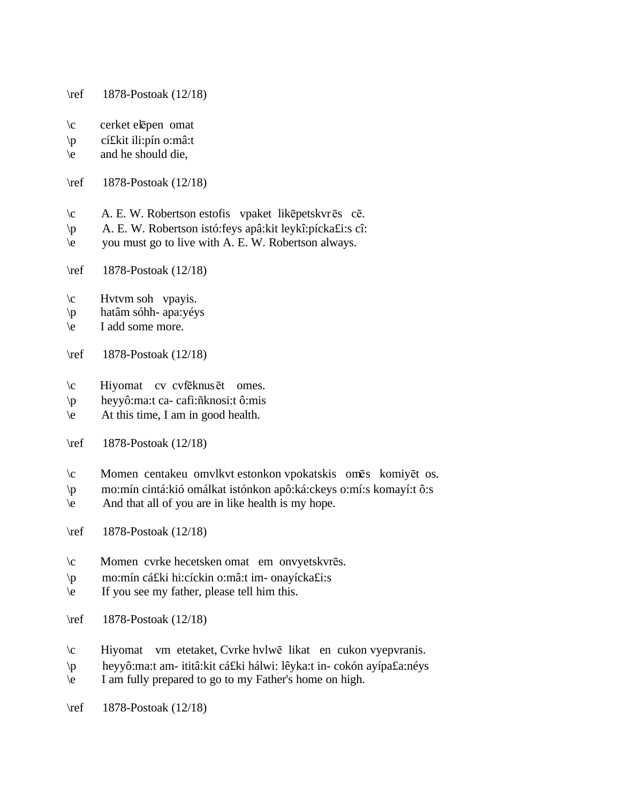- \ref 1878-Postoak (12/18)
- $\c$  cerket elepen omat
- \p cí£kit ili:pín o:mâ:t
- $\le$  and he should die,
- \ref 1878-Postoak (12/18)
- $\c$  A. E. W. Robertson estofis vpaket likēpetskvrēs cē.
- \p A. E. W. Robertson istó:feys apâ:kit leykî:pícka£i:s cî:
- \e you must go to live with A. E. W. Robertson always.
- \ref 1878-Postoak (12/18)
- $\c$  Hvtvm soh vpayis.
- \p hatâm sóhh- apa:yéys
- \e I add some more.
- \ref 1878-Postoak (12/18)
- $\c$  Hiyomat cv cvf $\bar{e}$ knus $\bar{e}$ t omes.
- \p heyyô:ma:t ca- cafì:ñknosi:t ô:mis
- \e At this time, I am in good health.
- \ref 1878-Postoak (12/18)
- $\c$  Momen centakeu omvlkvt estonkon vpokatskis omēs komiyēt os.
- \p mo:mín cintá:kió omálkat istónkon apô:ká:ckeys o:mí:s komayí:t ô:s
- \e And that all of you are in like health is my hope.
- \ref 1878-Postoak (12/18)
- $\c$  Momen cvrke hecetsken omat em onvyetskvrēs.
- \p mo:mín cá£ki hi:cíckin o:mâ:t im- onayícka£i:s
- \e If you see my father, please tell him this.
- \ref 1878-Postoak (12/18)
- $\c$  Hiyomat vm etetaket, Cvrke hvlw $\bar{e}$  likat en cukon vyepvranis.
- \p heyyô:ma:t am- ititâ:kit cá£ki hálwi: lêyka:t in- cokón ayípa£a:néys
- \e I am fully prepared to go to my Father's home on high.
- \ref 1878-Postoak (12/18)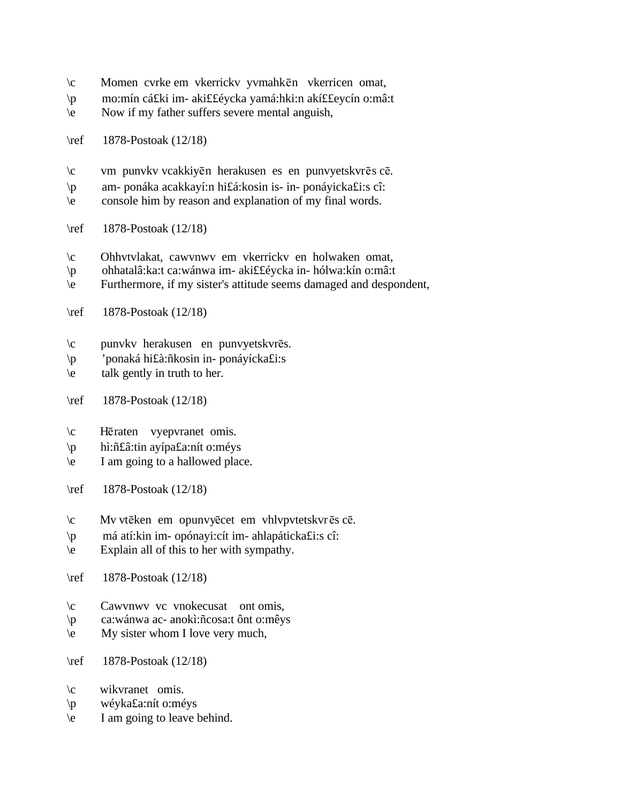- \c Momen cvrke em vkerrickv yvmahkēn vkerricen omat,
- \p mo:mín cá£ki im- aki££éycka yamá:hki:n akí££eycín o:mâ:t
- \e Now if my father suffers severe mental anguish,
- \ref 1878-Postoak (12/18)
- $\c$  vm punvkv vcakkiyēn herakusen es en punvyetskvrēs cē.
- \p am- ponáka acakkayí:n hi£á:kosin is- in- ponáyicka£i:s cî:
- \e console him by reason and explanation of my final words.
- \ref 1878-Postoak (12/18)
- \c Ohhvtvlakat, cawvnwv em vkerrickv en holwaken omat,
- \p ohhatalâ:ka:t ca:wánwa im- aki££éycka in- hólwa:kín o:mâ:t
- \e Furthermore, if my sister's attitude seems damaged and despondent,
- \ref 1878-Postoak (12/18)
- \c punvkv herakusen en punvyetskvrēs.
- \p 'ponaká hi£à:ñkosin in- ponáyícka£i:s
- \e talk gently in truth to her.
- \ref 1878-Postoak (12/18)
- \c Hēraten vyepvranet omis.
- \p hì:ñ£â:tin ayípa£a:nít o:méys
- \e I am going to a hallowed place.
- \ref 1878-Postoak (12/18)
- $\c$  Mv vtēken em opunvyēcet em vhlvpvtetskvrēs cē.
- \p má atí:kin im- opónayi:cít im- ahlapáticka£i:s cî:
- \e Explain all of this to her with sympathy.
- \ref 1878-Postoak (12/18)
- \c Cawvnwv vc vnokecusat ont omis,
- \p ca:wánwa ac- anokì:ñcosa:t ônt o:mêys
- \e My sister whom I love very much,
- \ref 1878-Postoak (12/18)
- \c wikvranet omis.
- \p wéyka£a:nít o:méys
- \e I am going to leave behind.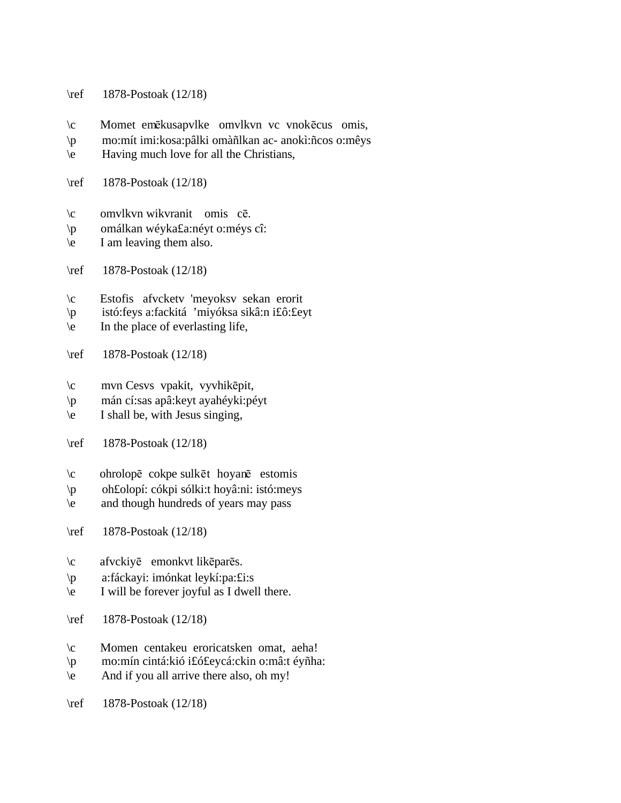- \ref 1878-Postoak (12/18)
- $\c$  Momet emēkusapvlke omvlkvn vc vnokēcus omis,
- \p mo:mít imi:kosa:pâlki omàñlkan ac- anokì:ñcos o:mêys
- \e Having much love for all the Christians,
- \ref 1878-Postoak (12/18)
- $\c$  omvlkvn wikvranit omis  $c\bar{e}$ .
- \p omálkan wéyka£a:néyt o:méys cî:
- \e I am leaving them also.
- \ref 1878-Postoak (12/18)
- \c Estofis afvcketv 'meyoksv sekan erorit
- \p istó:feys a:fackitá 'miyóksa sikâ:n i£ô:£eyt
- \e In the place of everlasting life,
- \ref 1878-Postoak (12/18)
- \c mvn Cesvs vpakit, vyvhikepit,
- \p mán cí:sas apâ:keyt ayahéyki:péyt
- $\leq$  I shall be, with Jesus singing,
- \ref 1878-Postoak (12/18)
- $\c$  ohrolopē cokpe sulkēt hoyanē estomis
- \p oh£olopí: cókpi sólki:t hoyâ:ni: istó:meys
- \e and though hundreds of years may pass
- \ref 1878-Postoak (12/18)
- \c afvckiye emonkvt likepares.
- \p a:fáckayi: imónkat leykí:pa:£i:s
- \e I will be forever joyful as I dwell there.
- \ref 1878-Postoak (12/18)
- \c Momen centakeu eroricatsken omat, aeha!
- \p mo:mín cintá:kió i£ó£eycá:ckin o:mâ:t éyñha:
- \e And if you all arrive there also, oh my!
- \ref 1878-Postoak (12/18)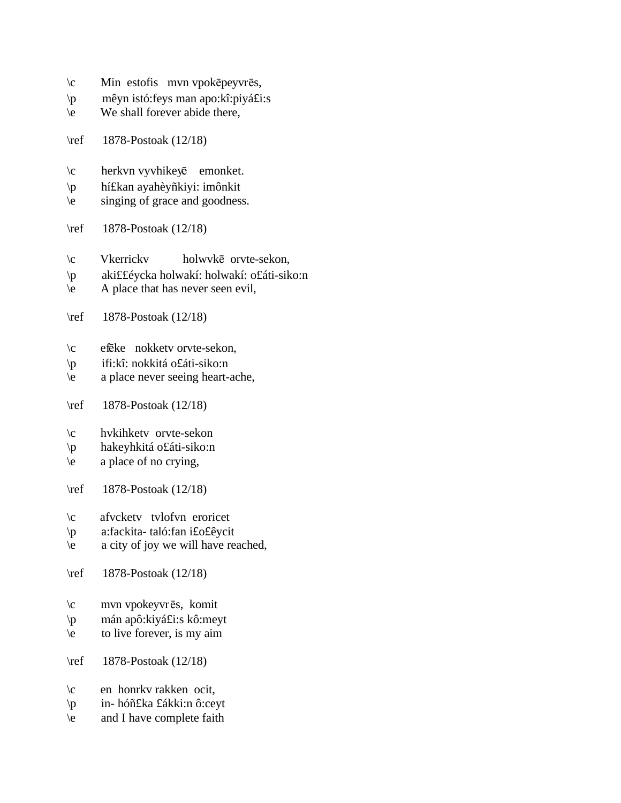- $\operatorname{c}$  Min estofis mvn vpokēpeyvrēs,
- \p mêyn istó:feys man apo:kî:piyá£i:s
- \e We shall forever abide there,
- \ref 1878-Postoak (12/18)
- $\c$  herkvn vyvhikey $\bar{e}$  emonket.
- \p hí£kan ayahèyñkiyi: imônkit
- \e singing of grace and goodness.
- \ref 1878-Postoak (12/18)
- $\c$  Vkerrickv holwvkē orvte-sekon,
- \p aki££éycka holwakí: holwakí: o£áti-siko:n
- $\begin{bmatrix} 1 \\ 2 \end{bmatrix}$  A place that has never seen evil,
- \ref 1878-Postoak (12/18)
- $\c$  efeke nokketv orvte-sekon,
- \p ifi:kî: nokkitá o£áti-siko:n
- \e a place never seeing heart-ache,
- \ref 1878-Postoak (12/18)
- \c hvkihketv orvte-sekon
- \p hakeyhkitá o£áti-siko:n
- \e a place of no crying,
- \ref 1878-Postoak (12/18)
- \c afvcketv tvlofvn eroricet
- \p a:fackita- taló:fan i£o£êycit
- \e a city of joy we will have reached,
- \ref 1878-Postoak (12/18)
- $\c$  mvn vpokeyvrēs, komit
- \p mán apô:kiyá£i:s kô:meyt
- $\leq$  to live forever, is my aim
- \ref 1878-Postoak (12/18)
- \c en honrkv rakken ocit,
- \p in- hóñ£ka £ákki:n ô:ceyt
- \e and I have complete faith